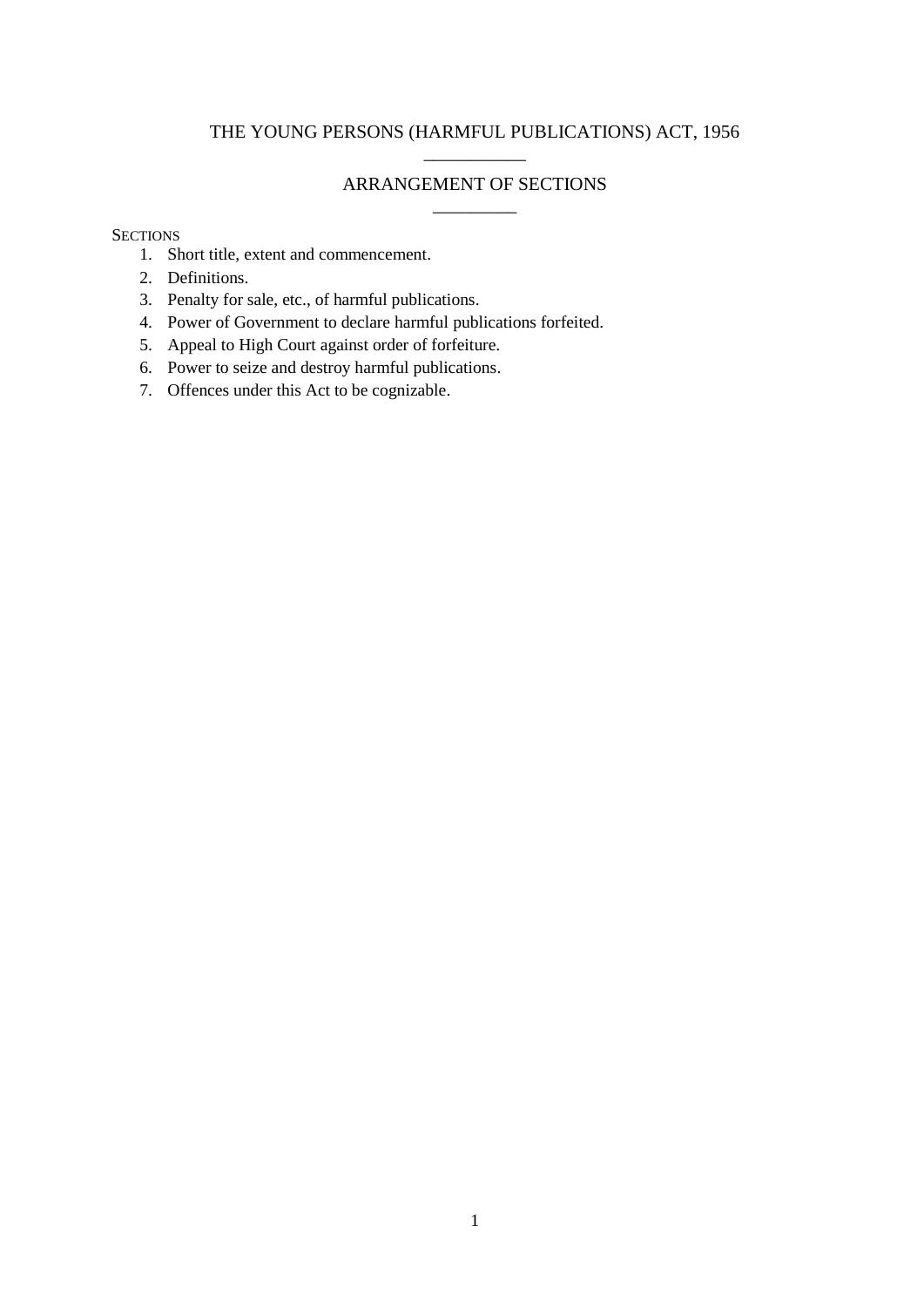# THE YOUNG PERSONS (HARMFUL PUBLICATIONS) ACT, 1956 \_\_\_\_\_\_\_\_\_\_\_

# ARRANGEMENT OF SECTIONS

 $\overline{\phantom{a}}$   $\overline{\phantom{a}}$   $\overline{\phantom{a}}$   $\overline{\phantom{a}}$   $\overline{\phantom{a}}$   $\overline{\phantom{a}}$   $\overline{\phantom{a}}$   $\overline{\phantom{a}}$   $\overline{\phantom{a}}$   $\overline{\phantom{a}}$   $\overline{\phantom{a}}$   $\overline{\phantom{a}}$   $\overline{\phantom{a}}$   $\overline{\phantom{a}}$   $\overline{\phantom{a}}$   $\overline{\phantom{a}}$   $\overline{\phantom{a}}$   $\overline{\phantom{a}}$   $\overline{\$ 

## **SECTIONS**

- 1. Short title, extent and commencement.
- 2. Definitions.
- 3. Penalty for sale, etc., of harmful publications.
- 4. Power of Government to declare harmful publications forfeited.
- 5. Appeal to High Court against order of forfeiture.
- 6. Power to seize and destroy harmful publications.
- 7. Offences under this Act to be cognizable.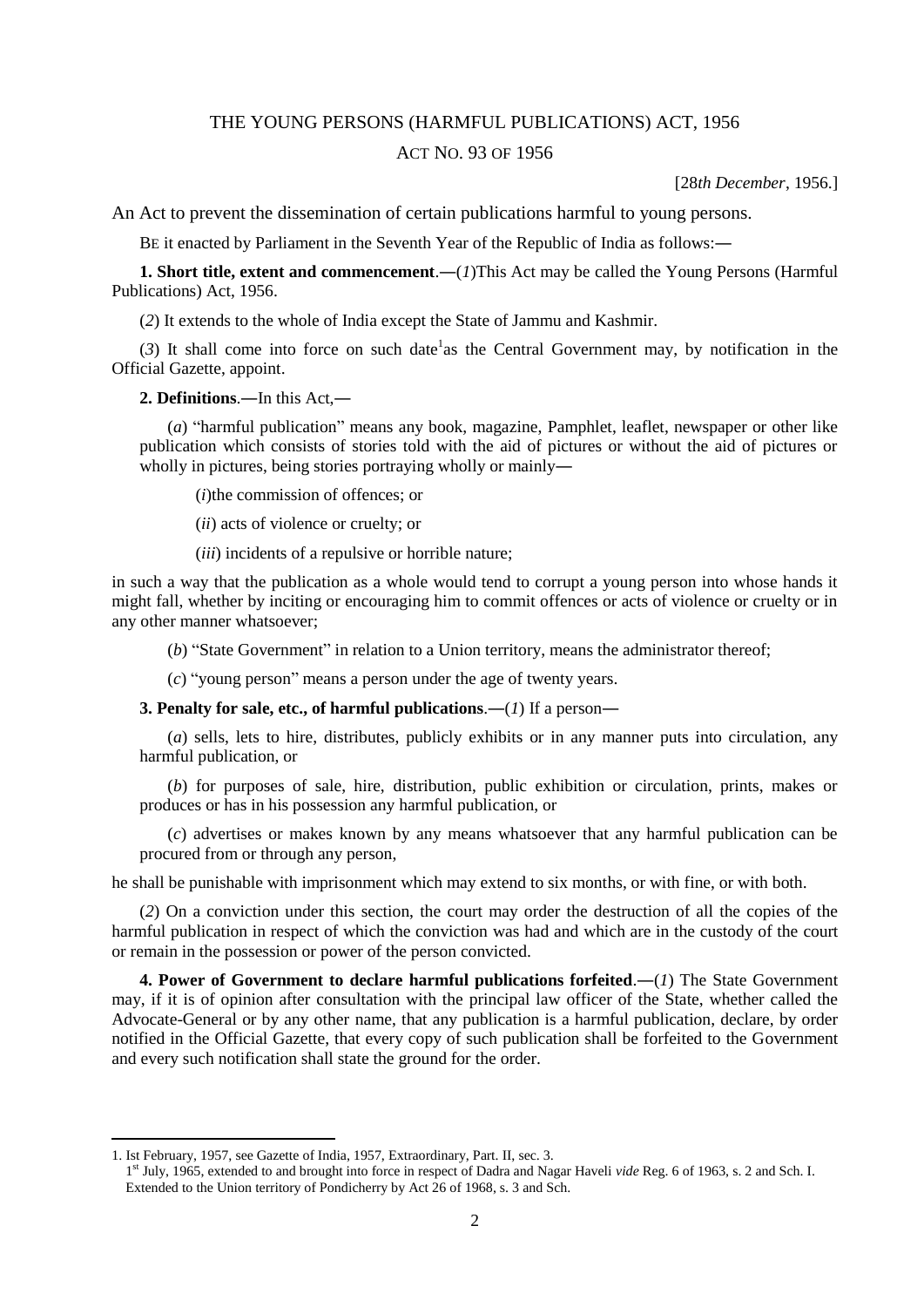### THE YOUNG PERSONS (HARMFUL PUBLICATIONS) ACT, 1956

### ACT NO. 93 OF 1956

[28*th December*, 1956.]

An Act to prevent the dissemination of certain publications harmful to young persons.

BE it enacted by Parliament in the Seventh Year of the Republic of India as follows:―

**1. Short title, extent and commencement**.―(*1*)This Act may be called the Young Persons (Harmful Publications) Act, 1956.

(*2*) It extends to the whole of India except the State of Jammu and Kashmir.

 $(3)$  It shall come into force on such date<sup>1</sup> as the Central Government may, by notification in the Official Gazette, appoint.

**2. Definitions**.―In this Act,―

(*a*) "harmful publication" means any book, magazine, Pamphlet, leaflet, newspaper or other like publication which consists of stories told with the aid of pictures or without the aid of pictures or wholly in pictures, being stories portraying wholly or mainly—

(*i*)the commission of offences; or

(*ii*) acts of violence or cruelty; or

(*iii*) incidents of a repulsive or horrible nature;

in such a way that the publication as a whole would tend to corrupt a young person into whose hands it might fall, whether by inciting or encouraging him to commit offences or acts of violence or cruelty or in any other manner whatsoever;

(*b*) "State Government" in relation to a Union territory, means the administrator thereof;

(*c*) "young person" means a person under the age of twenty years.

**3. Penalty for sale, etc., of harmful publications**.―(*1*) If a person―

(*a*) sells, lets to hire, distributes, publicly exhibits or in any manner puts into circulation, any harmful publication, or

(*b*) for purposes of sale, hire, distribution, public exhibition or circulation, prints, makes or produces or has in his possession any harmful publication, or

(*c*) advertises or makes known by any means whatsoever that any harmful publication can be procured from or through any person,

he shall be punishable with imprisonment which may extend to six months, or with fine, or with both.

(*2*) On a conviction under this section, the court may order the destruction of all the copies of the harmful publication in respect of which the conviction was had and which are in the custody of the court or remain in the possession or power of the person convicted.

**4. Power of Government to declare harmful publications forfeited**.―(*1*) The State Government may, if it is of opinion after consultation with the principal law officer of the State, whether called the Advocate-General or by any other name, that any publication is a harmful publication, declare, by order notified in the Official Gazette, that every copy of such publication shall be forfeited to the Government and every such notification shall state the ground for the order.

**.** 

<sup>1.</sup> Ist February, 1957, see Gazette of India, 1957, Extraordinary, Part. II, sec. 3.

<sup>1&</sup>lt;sup>st</sup> July, 1965, extended to and brought into force in respect of Dadra and Nagar Haveli *vide* Reg. 6 of 1963, s. 2 and Sch. I. Extended to the Union territory of Pondicherry by Act 26 of 1968, s. 3 and Sch.